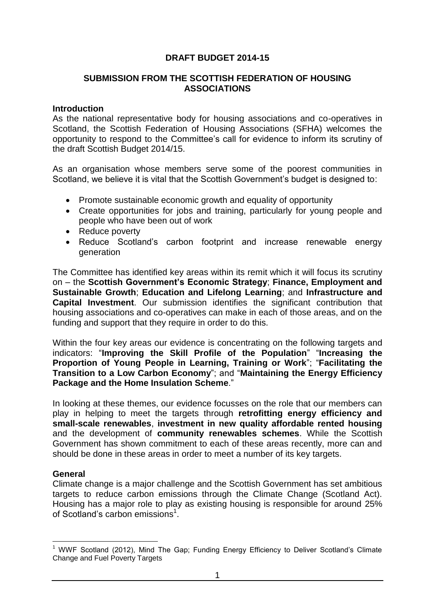# **DRAFT BUDGET 2014-15**

# **SUBMISSION FROM THE SCOTTISH FEDERATION OF HOUSING ASSOCIATIONS**

### **Introduction**

As the national representative body for housing associations and co-operatives in Scotland, the Scottish Federation of Housing Associations (SFHA) welcomes the opportunity to respond to the Committee's call for evidence to inform its scrutiny of the draft Scottish Budget 2014/15.

As an organisation whose members serve some of the poorest communities in Scotland, we believe it is vital that the Scottish Government's budget is designed to:

- Promote sustainable economic growth and equality of opportunity
- Create opportunities for jobs and training, particularly for young people and people who have been out of work
- Reduce poverty
- Reduce Scotland's carbon footprint and increase renewable energy generation

The Committee has identified key areas within its remit which it will focus its scrutiny on – the **Scottish Government's Economic Strategy**; **Finance, Employment and Sustainable Growth**; **Education and Lifelong Learning**; and **Infrastructure and Capital Investment**. Our submission identifies the significant contribution that housing associations and co-operatives can make in each of those areas, and on the funding and support that they require in order to do this.

Within the four key areas our evidence is concentrating on the following targets and indicators: "**Improving the Skill Profile of the Population**" "**Increasing the Proportion of Young People in Learning, Training or Work**"; "**Facilitating the Transition to a Low Carbon Economy**"; and "**Maintaining the Energy Efficiency Package and the Home Insulation Scheme**."

In looking at these themes, our evidence focusses on the role that our members can play in helping to meet the targets through **retrofitting energy efficiency and small-scale renewables**, **investment in new quality affordable rented housing** and the development of **community renewables schemes**. While the Scottish Government has shown commitment to each of these areas recently, more can and should be done in these areas in order to meet a number of its key targets.

## **General**

1

Climate change is a major challenge and the Scottish Government has set ambitious targets to reduce carbon emissions through the Climate Change (Scotland Act). Housing has a major role to play as existing housing is responsible for around 25% of Scotland's carbon emissions<sup>1</sup>.

<sup>&</sup>lt;sup>1</sup> WWF Scotland (2012), Mind The Gap; Funding Energy Efficiency to Deliver Scotland's Climate Change and Fuel Poverty Targets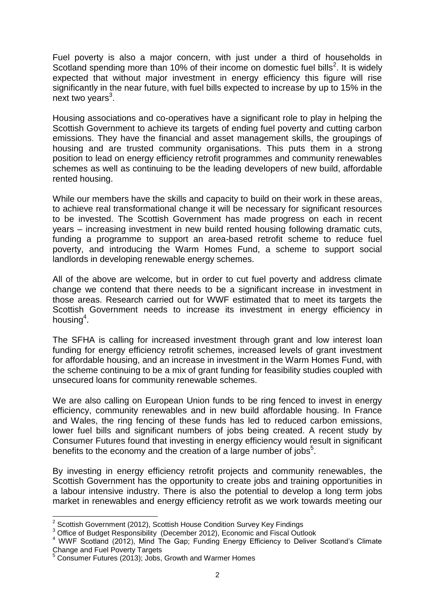Fuel poverty is also a major concern, with just under a third of households in Scotland spending more than 10% of their income on domestic fuel bills<sup>2</sup>. It is widely expected that without major investment in energy efficiency this figure will rise significantly in the near future, with fuel bills expected to increase by up to 15% in the next two years<sup>3</sup>.

Housing associations and co-operatives have a significant role to play in helping the Scottish Government to achieve its targets of ending fuel poverty and cutting carbon emissions. They have the financial and asset management skills, the groupings of housing and are trusted community organisations. This puts them in a strong position to lead on energy efficiency retrofit programmes and community renewables schemes as well as continuing to be the leading developers of new build, affordable rented housing.

While our members have the skills and capacity to build on their work in these areas, to achieve real transformational change it will be necessary for significant resources to be invested. The Scottish Government has made progress on each in recent years – increasing investment in new build rented housing following dramatic cuts, funding a programme to support an area-based retrofit scheme to reduce fuel poverty, and introducing the Warm Homes Fund, a scheme to support social landlords in developing renewable energy schemes.

All of the above are welcome, but in order to cut fuel poverty and address climate change we contend that there needs to be a significant increase in investment in those areas. Research carried out for WWF estimated that to meet its targets the Scottish Government needs to increase its investment in energy efficiency in housing<sup>4</sup>.

The SFHA is calling for increased investment through grant and low interest loan funding for energy efficiency retrofit schemes, increased levels of grant investment for affordable housing, and an increase in investment in the Warm Homes Fund, with the scheme continuing to be a mix of grant funding for feasibility studies coupled with unsecured loans for community renewable schemes.

We are also calling on European Union funds to be ring fenced to invest in energy efficiency, community renewables and in new build affordable housing. In France and Wales, the ring fencing of these funds has led to reduced carbon emissions, lower fuel bills and significant numbers of jobs being created. A recent study by Consumer Futures found that investing in energy efficiency would result in significant benefits to the economy and the creation of a large number of jobs<sup>5</sup>.

By investing in energy efficiency retrofit projects and community renewables, the Scottish Government has the opportunity to create jobs and training opportunities in a labour intensive industry. There is also the potential to develop a long term jobs market in renewables and energy efficiency retrofit as we work towards meeting our

 2 Scottish Government (2012), Scottish House Condition Survey Key Findings

 $3$  Office of Budget Responsibility (December 2012), Economic and Fiscal Outlook

 $4$  WWF Scotland (2012), Mind The Gap; Funding Energy Efficiency to Deliver Scotland's Climate Change and Fuel Poverty Targets

<sup>5</sup> Consumer Futures (2013); Jobs, Growth and Warmer Homes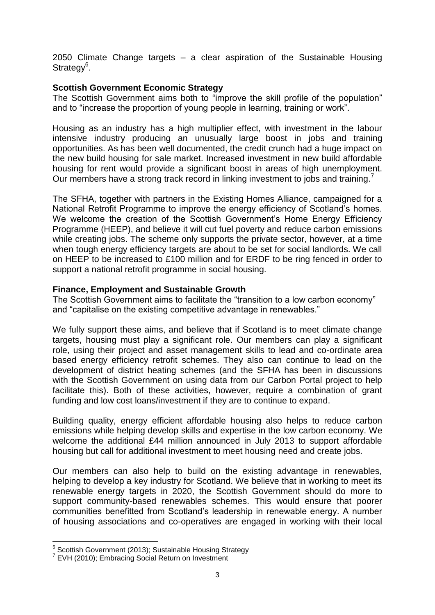2050 Climate Change targets – a clear aspiration of the Sustainable Housing Strategy<sup>6</sup>.

# **Scottish Government Economic Strategy**

The Scottish Government aims both to "improve the skill profile of the population" and to "increase the proportion of young people in learning, training or work".

Housing as an industry has a high multiplier effect, with investment in the labour intensive industry producing an unusually large boost in jobs and training opportunities. As has been well documented, the credit crunch had a huge impact on the new build housing for sale market. Increased investment in new build affordable housing for rent would provide a significant boost in areas of high unemployment. Our members have a strong track record in linking investment to jobs and training.<sup>7</sup>

The SFHA, together with partners in the Existing Homes Alliance, campaigned for a National Retrofit Programme to improve the energy efficiency of Scotland's homes. We welcome the creation of the Scottish Government's Home Energy Efficiency Programme (HEEP), and believe it will cut fuel poverty and reduce carbon emissions while creating jobs. The scheme only supports the private sector, however, at a time when tough energy efficiency targets are about to be set for social landlords. We call on HEEP to be increased to £100 million and for ERDF to be ring fenced in order to support a national retrofit programme in social housing.

## **Finance, Employment and Sustainable Growth**

The Scottish Government aims to facilitate the "transition to a low carbon economy" and "capitalise on the existing competitive advantage in renewables."

We fully support these aims, and believe that if Scotland is to meet climate change targets, housing must play a significant role. Our members can play a significant role, using their project and asset management skills to lead and co-ordinate area based energy efficiency retrofit schemes. They also can continue to lead on the development of district heating schemes (and the SFHA has been in discussions with the Scottish Government on using data from our Carbon Portal project to help facilitate this). Both of these activities, however, require a combination of grant funding and low cost loans/investment if they are to continue to expand.

Building quality, energy efficient affordable housing also helps to reduce carbon emissions while helping develop skills and expertise in the low carbon economy. We welcome the additional £44 million announced in July 2013 to support affordable housing but call for additional investment to meet housing need and create jobs.

Our members can also help to build on the existing advantage in renewables, helping to develop a key industry for Scotland. We believe that in working to meet its renewable energy targets in 2020, the Scottish Government should do more to support community-based renewables schemes. This would ensure that poorer communities benefitted from Scotland's leadership in renewable energy. A number of housing associations and co-operatives are engaged in working with their local

 6 Scottish Government (2013); Sustainable Housing Strategy

<sup>&</sup>lt;sup>7</sup> EVH (2010); Embracing Social Return on Investment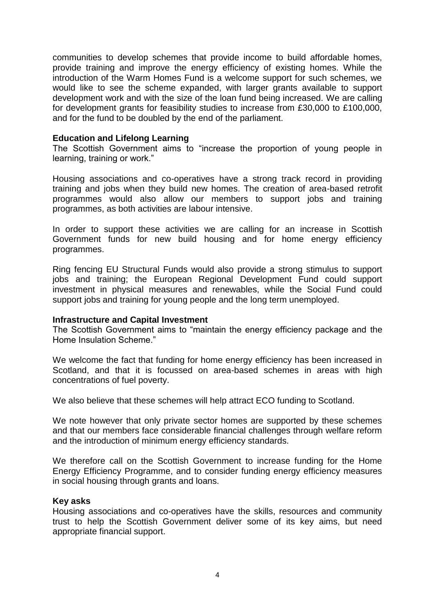communities to develop schemes that provide income to build affordable homes, provide training and improve the energy efficiency of existing homes. While the introduction of the Warm Homes Fund is a welcome support for such schemes, we would like to see the scheme expanded, with larger grants available to support development work and with the size of the loan fund being increased. We are calling for development grants for feasibility studies to increase from £30,000 to £100,000, and for the fund to be doubled by the end of the parliament.

#### **Education and Lifelong Learning**

The Scottish Government aims to "increase the proportion of young people in learning, training or work."

Housing associations and co-operatives have a strong track record in providing training and jobs when they build new homes. The creation of area-based retrofit programmes would also allow our members to support jobs and training programmes, as both activities are labour intensive.

In order to support these activities we are calling for an increase in Scottish Government funds for new build housing and for home energy efficiency programmes.

Ring fencing EU Structural Funds would also provide a strong stimulus to support jobs and training; the European Regional Development Fund could support investment in physical measures and renewables, while the Social Fund could support jobs and training for young people and the long term unemployed.

#### **Infrastructure and Capital Investment**

The Scottish Government aims to "maintain the energy efficiency package and the Home Insulation Scheme."

We welcome the fact that funding for home energy efficiency has been increased in Scotland, and that it is focussed on area-based schemes in areas with high concentrations of fuel poverty.

We also believe that these schemes will help attract ECO funding to Scotland.

We note however that only private sector homes are supported by these schemes and that our members face considerable financial challenges through welfare reform and the introduction of minimum energy efficiency standards.

We therefore call on the Scottish Government to increase funding for the Home Energy Efficiency Programme, and to consider funding energy efficiency measures in social housing through grants and loans.

#### **Key asks**

Housing associations and co-operatives have the skills, resources and community trust to help the Scottish Government deliver some of its key aims, but need appropriate financial support.